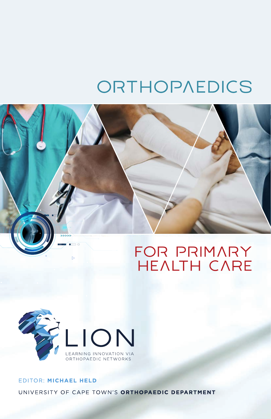# ORTHOPAEDICS





# EDITOR: MICHAEL HELD UNIVERSITY OF CAPE TOWN'S ORTHOPAEDIC DEPARTMENT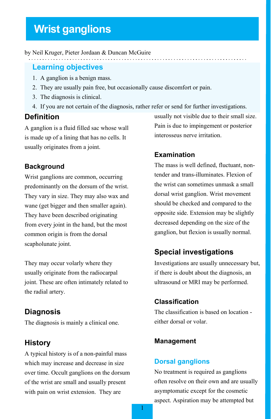# **Wrist ganglions**

# by Neil Kruger, Pieter Jordaan & Duncan McGuire

#### **Learning objectives**

- 1. A ganglion is a benign mass.
- 2. They are usually pain free, but occasionally cause discomfort or pain.
- 3. The diagnosis is clinical.
- 4. If you are not certain of the diagnosis, rather refer or send for further investigations.

# **Definition**

A ganglion is a fluid filled sac whose wall is made up of a lining that has no cells. It usually originates from a joint.

#### **Background**

Wrist ganglions are common, occurring predominantly on the dorsum of the wrist. They vary in size. They may also wax and wane (get bigger and then smaller again). They have been described originating from every joint in the hand, but the most common origin is from the dorsal scapholunate joint.

They may occur volarly where they usually originate from the radiocarpal joint. These are often intimately related to the radial artery.

# **Diagnosis**

The diagnosis is mainly a clinical one.

# **History**

A typical history is of a non-painful mass which may increase and decrease in size over time. Occult ganglions on the dorsum of the wrist are small and usually present with pain on wrist extension. They are

usually not visible due to their small size. Pain is due to impingement or posterior interosseus nerve irritation.

# **Examination**

The mass is well defined, fluctuant, nontender and trans-illuminates. Flexion of the wrist can sometimes unmask a small dorsal wrist ganglion. Wrist movement should be checked and compared to the opposite side. Extension may be slightly decreased depending on the size of the ganglion, but flexion is usually normal.

# **Special investigations**

Investigations are usually unnecessary but, if there is doubt about the diagnosis, an ultrasound or MRI may be performed.

#### **Classification**

The classification is based on location either dorsal or volar.

#### **Management**

#### **Dorsal ganglions**

No treatment is required as ganglions often resolve on their own and are usually asymptomatic except for the cosmetic aspect. Aspiration may be attempted but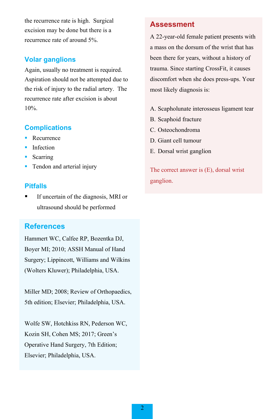the recurrence rate is high. Surgical excision may be done but there is a recurrence rate of around 5%.

# **Volar ganglions**

Again, usually no treatment is required. Aspiration should not be attempted due to the risk of injury to the radial artery. The recurrence rate after excision is about 10%.

# **Complications**

- Recurrence
- **Infection**
- Scarring
- Tendon and arterial injury

#### **Pitfalls**

 If uncertain of the diagnosis, MRI or ultrasound should be performed

# **References**

Hammert WC, Calfee RP, Bozentka DJ, Boyer MI; 2010; ASSH Manual of Hand Surgery; Lippincott, Williams and Wilkins (Wolters Kluwer); Philadelphia, USA.

Miller MD; 2008; Review of Orthopaedics, 5th edition; Elsevier; Philadelphia, USA.

Wolfe SW, Hotchkiss RN, Pederson WC, Kozin SH, Cohen MS; 2017; Green's Operative Hand Surgery, 7th Edition; Elsevier; Philadelphia, USA.

# **Assessment**

A 22-year-old female patient presents with a mass on the dorsum of the wrist that has been there for years, without a history of trauma. Since starting CrossFit, it causes discomfort when she does press-ups. Your most likely diagnosis is:

- A. Scapholunate interosseus ligament tear
- B. Scaphoid fracture
- C. Osteochondroma
- D. Giant cell tumour
- E. Dorsal wrist ganglion

The correct answer is (E), dorsal wrist ganglion.